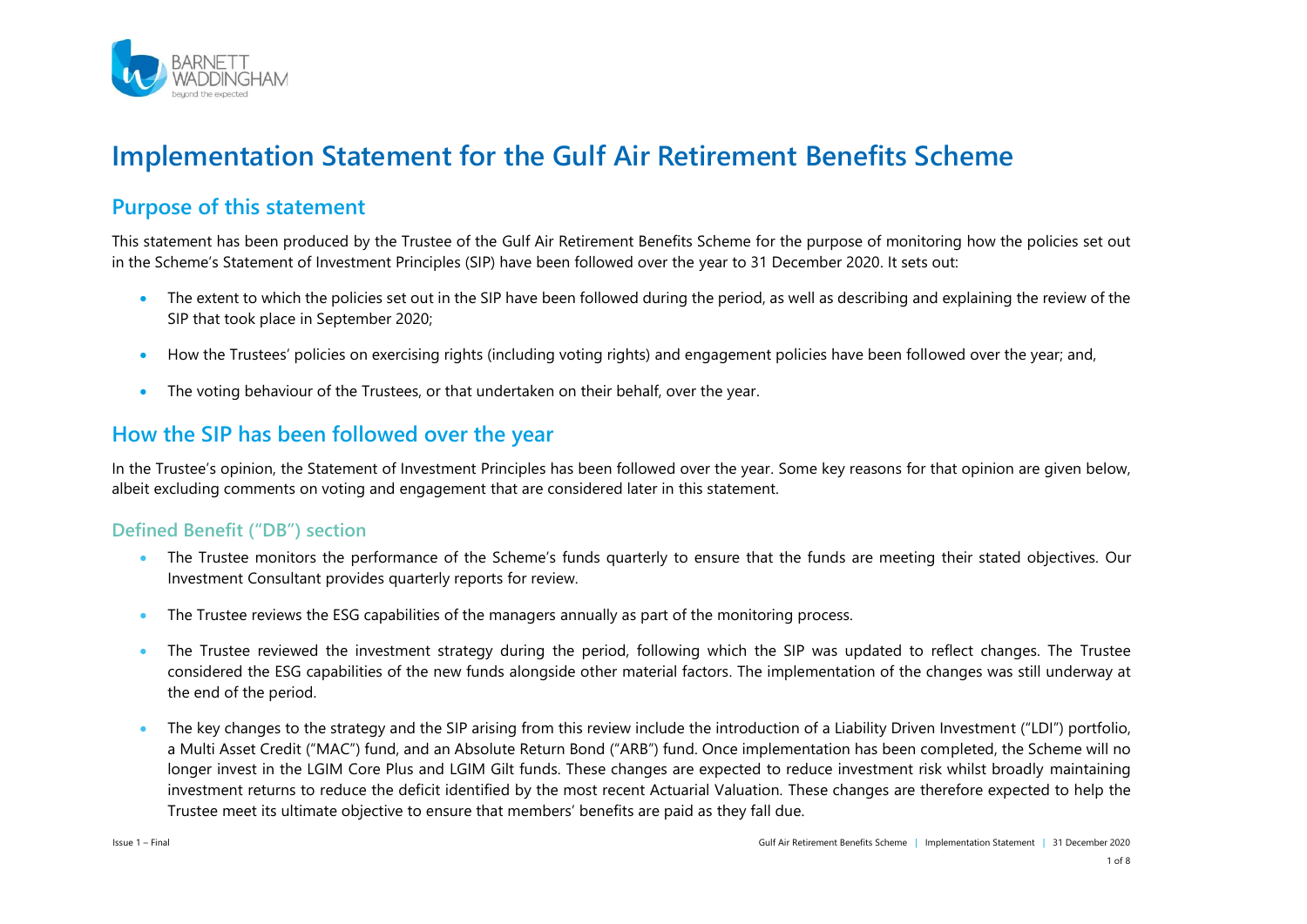

# **Implementation Statement for the Gulf Air Retirement Benefits Scheme**

#### **Purpose of this statement**

This statement has been produced by the Trustee of the Gulf Air Retirement Benefits Scheme for the purpose of monitoring how the policies set out in the Scheme's Statement of Investment Principles (SIP) have been followed over the year to 31 December 2020. It sets out:

- The extent to which the policies set out in the SIP have been followed during the period, as well as describing and explaining the review of the SIP that took place in September 2020;
- How the Trustees' policies on exercising rights (including voting rights) and engagement policies have been followed over the year; and,
- The voting behaviour of the Trustees, or that undertaken on their behalf, over the year.

### **How the SIP has been followed over the year**

In the Trustee's opinion, the Statement of Investment Principles has been followed over the year. Some key reasons for that opinion are given below, albeit excluding comments on voting and engagement that are considered later in this statement.

#### **Defined Benefit ("DB") section**

- The Trustee monitors the performance of the Scheme's funds quarterly to ensure that the funds are meeting their stated objectives. Our Investment Consultant provides quarterly reports for review.
- The Trustee reviews the ESG capabilities of the managers annually as part of the monitoring process.
- The Trustee reviewed the investment strategy during the period, following which the SIP was updated to reflect changes. The Trustee considered the ESG capabilities of the new funds alongside other material factors. The implementation of the changes was still underway at the end of the period.
- The key changes to the strategy and the SIP arising from this review include the introduction of a Liability Driven Investment ("LDI") portfolio, a Multi Asset Credit ("MAC") fund, and an Absolute Return Bond ("ARB") fund. Once implementation has been completed, the Scheme will no longer invest in the LGIM Core Plus and LGIM Gilt funds. These changes are expected to reduce investment risk whilst broadly maintaining investment returns to reduce the deficit identified by the most recent Actuarial Valuation. These changes are therefore expected to help the Trustee meet its ultimate objective to ensure that members' benefits are paid as they fall due.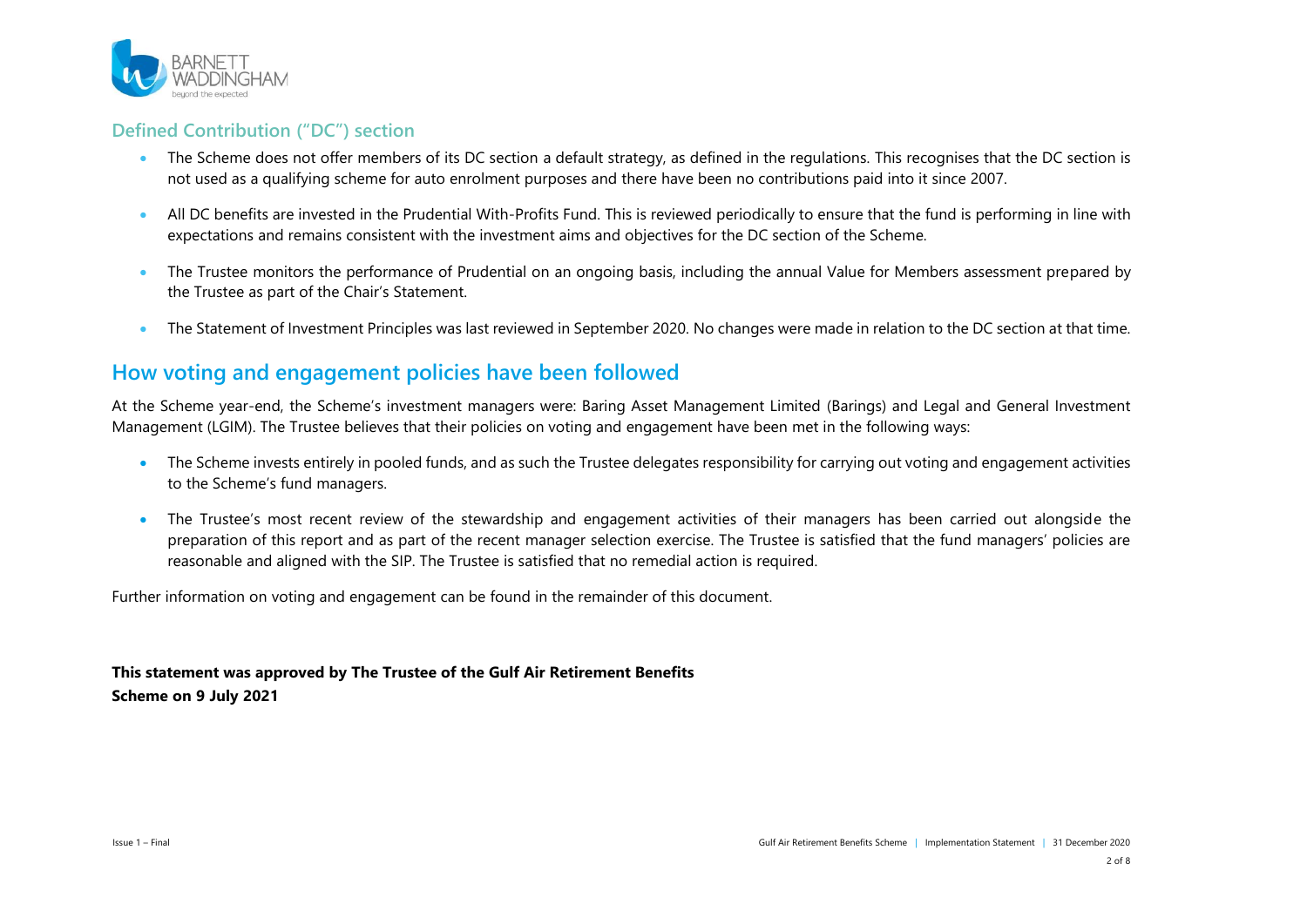

#### **Defined Contribution ("DC") section**

- The Scheme does not offer members of its DC section a default strategy, as defined in the regulations. This recognises that the DC section is not used as a qualifying scheme for auto enrolment purposes and there have been no contributions paid into it since 2007.
- All DC benefits are invested in the Prudential With-Profits Fund. This is reviewed periodically to ensure that the fund is performing in line with expectations and remains consistent with the investment aims and objectives for the DC section of the Scheme.
- The Trustee monitors the performance of Prudential on an ongoing basis, including the annual Value for Members assessment prepared by the Trustee as part of the Chair's Statement.
- . The Statement of Investment Principles was last reviewed in September 2020. No changes were made in relation to the DC section at that time.

#### **How voting and engagement policies have been followed**

At the Scheme year-end, the Scheme's investment managers were: Baring Asset Management Limited (Barings) and Legal and General Investment Management (LGIM). The Trustee believes that their policies on voting and engagement have been met in the following ways:

- The Scheme invests entirely in pooled funds, and as such the Trustee delegates responsibility for carrying out voting and engagement activities to the Scheme's fund managers.
- The Trustee's most recent review of the stewardship and engagement activities of their managers has been carried out alongside the preparation of this report and as part of the recent manager selection exercise. The Trustee is satisfied that the fund managers' policies are reasonable and aligned with the SIP. The Trustee is satisfied that no remedial action is required.

Further information on voting and engagement can be found in the remainder of this document.

**This statement was approved by The Trustee of the Gulf Air Retirement Benefits Scheme on 9 July 2021**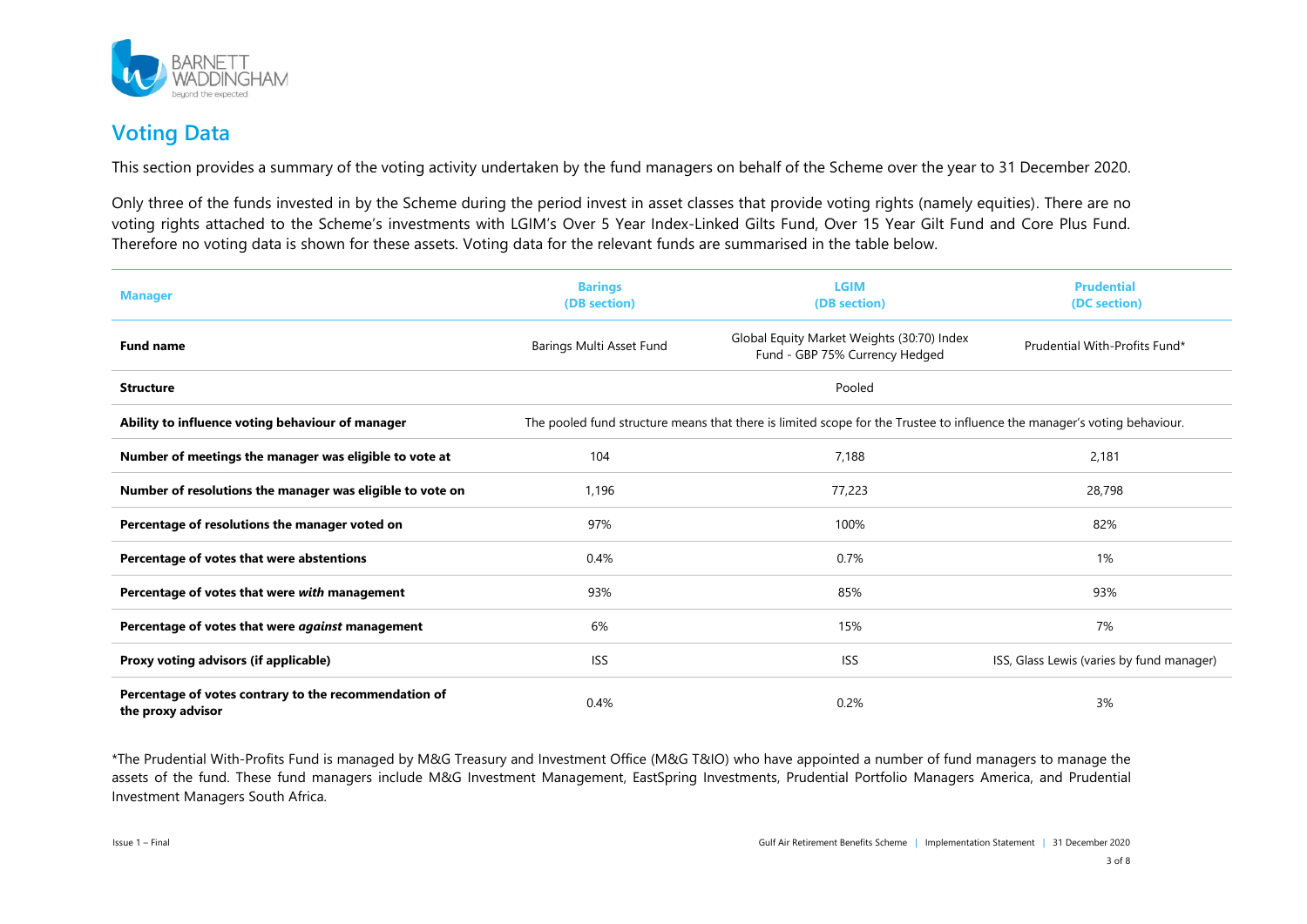

## **Voting Data**

This section provides a summary of the voting activity undertaken by the fund managers on behalf of the Scheme over the year to 31 December 2020.

Only three of the funds invested in by the Scheme during the period invest in asset classes that provide voting rights (namely equities). There are no voting rights attached to the Scheme's investments with LGIM's Over 5 Year Index-Linked Gilts Fund, Over 15 Year Gilt Fund and Core Plus Fund. Therefore no voting data is shown for these assets. Voting data for the relevant funds are summarised in the table below.

| <b>Manager</b>                                                             | <b>Barings</b><br>(DB section)                                                                                           | <b>LGIM</b><br>(DB section)                                                  | <b>Prudential</b><br>(DC section)         |
|----------------------------------------------------------------------------|--------------------------------------------------------------------------------------------------------------------------|------------------------------------------------------------------------------|-------------------------------------------|
| <b>Fund name</b>                                                           | Barings Multi Asset Fund                                                                                                 | Global Equity Market Weights (30:70) Index<br>Fund - GBP 75% Currency Hedged | Prudential With-Profits Fund*             |
| <b>Structure</b>                                                           | Pooled                                                                                                                   |                                                                              |                                           |
| Ability to influence voting behaviour of manager                           | The pooled fund structure means that there is limited scope for the Trustee to influence the manager's voting behaviour. |                                                                              |                                           |
| Number of meetings the manager was eligible to vote at                     | 104                                                                                                                      | 7,188                                                                        | 2,181                                     |
| Number of resolutions the manager was eligible to vote on                  | 1,196                                                                                                                    | 77,223                                                                       | 28,798                                    |
| Percentage of resolutions the manager voted on                             | 97%                                                                                                                      | 100%                                                                         | 82%                                       |
| Percentage of votes that were abstentions                                  | 0.4%                                                                                                                     | 0.7%                                                                         | 1%                                        |
| Percentage of votes that were with management                              | 93%                                                                                                                      | 85%                                                                          | 93%                                       |
| Percentage of votes that were against management                           | 6%                                                                                                                       | 15%                                                                          | 7%                                        |
| Proxy voting advisors (if applicable)                                      | <b>ISS</b>                                                                                                               | <b>ISS</b>                                                                   | ISS, Glass Lewis (varies by fund manager) |
| Percentage of votes contrary to the recommendation of<br>the proxy advisor | 0.4%                                                                                                                     | 0.2%                                                                         | 3%                                        |

\*The Prudential With-Profits Fund is managed by M&G Treasury and Investment Office (M&G T&IO) who have appointed a number of fund managers to manage the assets of the fund. These fund managers include M&G Investment Management, EastSpring Investments, Prudential Portfolio Managers America, and Prudential Investment Managers South Africa.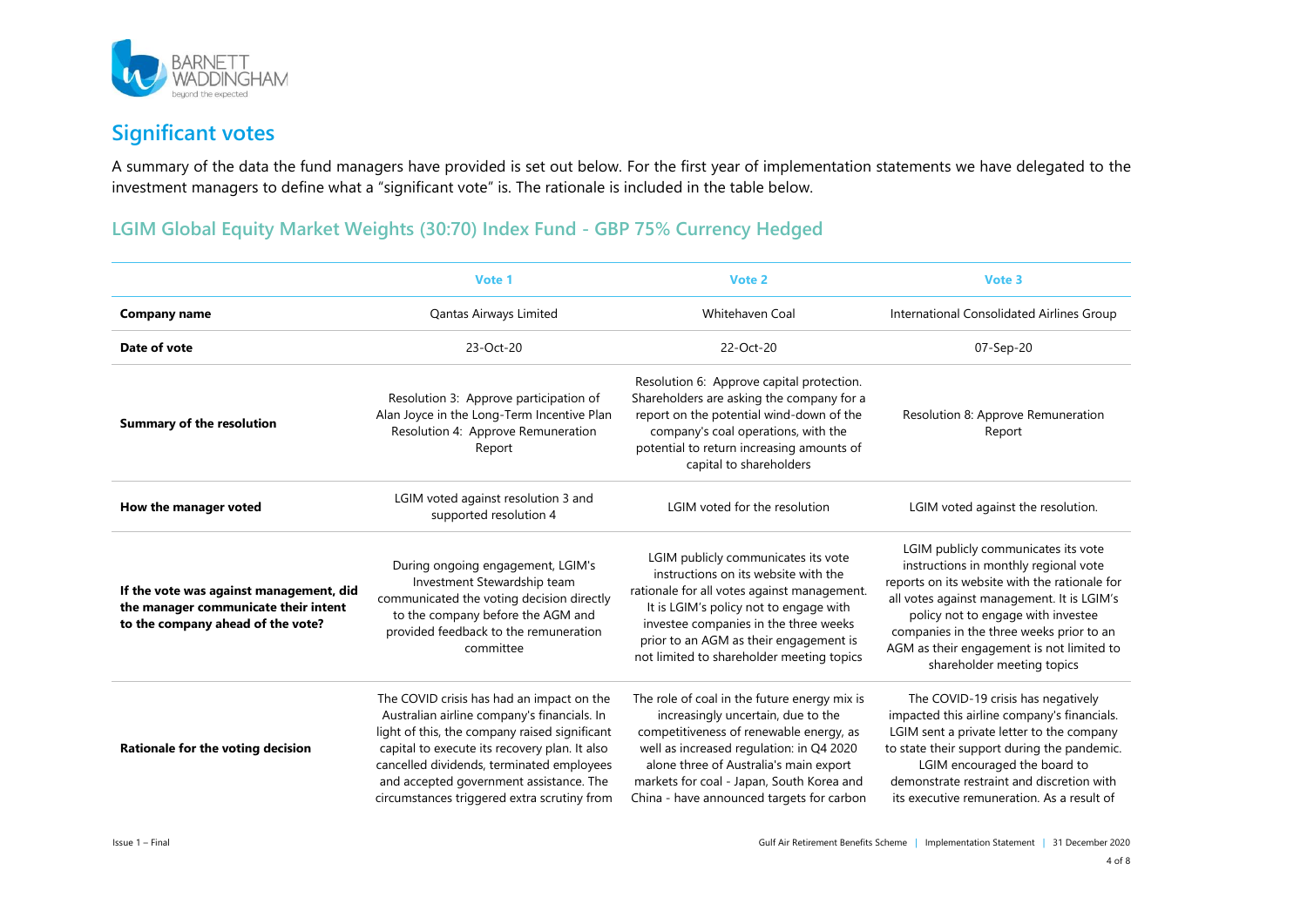

## **Significant votes**

A summary of the data the fund managers have provided is set out below. For the first year of implementation statements we have delegated to the investment managers to define what a "significant vote" is. The rationale is included in the table below.

#### **LGIM Global Equity Market Weights (30:70) Index Fund - GBP 75% Currency Hedged**

|                                                                                                                      | Vote 1                                                                                                                                                                                                                                                                                                                            | Vote 2                                                                                                                                                                                                                                                                                                        | Vote 3                                                                                                                                                                                                                                                                                                                                   |
|----------------------------------------------------------------------------------------------------------------------|-----------------------------------------------------------------------------------------------------------------------------------------------------------------------------------------------------------------------------------------------------------------------------------------------------------------------------------|---------------------------------------------------------------------------------------------------------------------------------------------------------------------------------------------------------------------------------------------------------------------------------------------------------------|------------------------------------------------------------------------------------------------------------------------------------------------------------------------------------------------------------------------------------------------------------------------------------------------------------------------------------------|
| <b>Company name</b>                                                                                                  | Qantas Airways Limited                                                                                                                                                                                                                                                                                                            | Whitehaven Coal                                                                                                                                                                                                                                                                                               | International Consolidated Airlines Group                                                                                                                                                                                                                                                                                                |
| Date of vote                                                                                                         | 23-Oct-20                                                                                                                                                                                                                                                                                                                         | 22-Oct-20                                                                                                                                                                                                                                                                                                     | 07-Sep-20                                                                                                                                                                                                                                                                                                                                |
| <b>Summary of the resolution</b>                                                                                     | Resolution 3: Approve participation of<br>Alan Joyce in the Long-Term Incentive Plan<br>Resolution 4: Approve Remuneration<br>Report                                                                                                                                                                                              | Resolution 6: Approve capital protection.<br>Shareholders are asking the company for a<br>report on the potential wind-down of the<br>company's coal operations, with the<br>potential to return increasing amounts of<br>capital to shareholders                                                             | Resolution 8: Approve Remuneration<br>Report                                                                                                                                                                                                                                                                                             |
| How the manager voted                                                                                                | LGIM voted against resolution 3 and<br>supported resolution 4                                                                                                                                                                                                                                                                     | LGIM voted for the resolution                                                                                                                                                                                                                                                                                 | LGIM voted against the resolution.                                                                                                                                                                                                                                                                                                       |
| If the vote was against management, did<br>the manager communicate their intent<br>to the company ahead of the vote? | During ongoing engagement, LGIM's<br>Investment Stewardship team<br>communicated the voting decision directly<br>to the company before the AGM and<br>provided feedback to the remuneration<br>committee                                                                                                                          | LGIM publicly communicates its vote<br>instructions on its website with the<br>rationale for all votes against management.<br>It is LGIM's policy not to engage with<br>investee companies in the three weeks<br>prior to an AGM as their engagement is<br>not limited to shareholder meeting topics          | LGIM publicly communicates its vote<br>instructions in monthly regional vote<br>reports on its website with the rationale for<br>all votes against management. It is LGIM's<br>policy not to engage with investee<br>companies in the three weeks prior to an<br>AGM as their engagement is not limited to<br>shareholder meeting topics |
| Rationale for the voting decision                                                                                    | The COVID crisis has had an impact on the<br>Australian airline company's financials. In<br>light of this, the company raised significant<br>capital to execute its recovery plan. It also<br>cancelled dividends, terminated employees<br>and accepted government assistance. The<br>circumstances triggered extra scrutiny from | The role of coal in the future energy mix is<br>increasingly uncertain, due to the<br>competitiveness of renewable energy, as<br>well as increased regulation: in Q4 2020<br>alone three of Australia's main export<br>markets for coal - Japan, South Korea and<br>China - have announced targets for carbon | The COVID-19 crisis has negatively<br>impacted this airline company's financials.<br>LGIM sent a private letter to the company<br>to state their support during the pandemic.<br>LGIM encouraged the board to<br>demonstrate restraint and discretion with<br>its executive remuneration. As a result of                                 |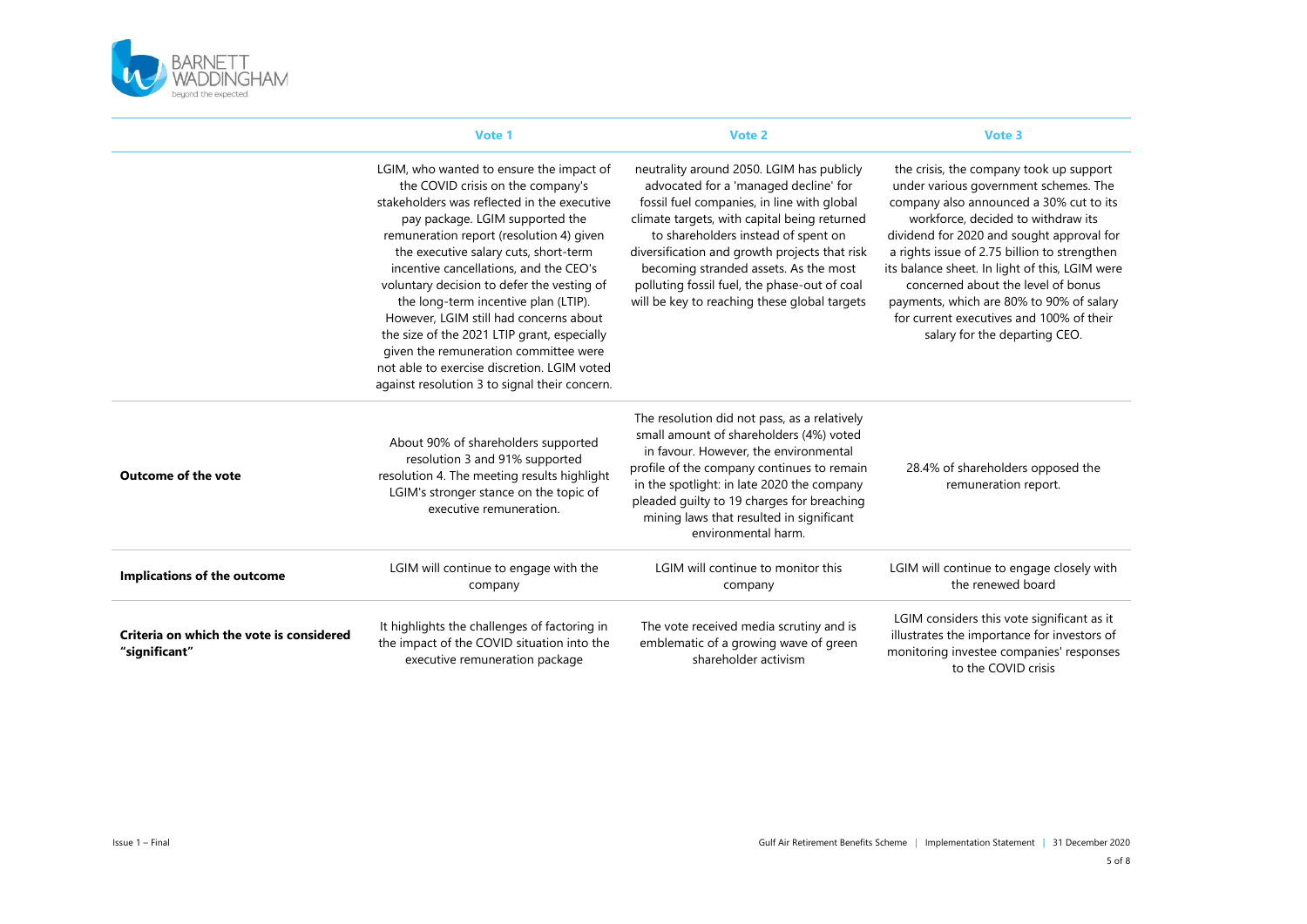

|                                                           | Vote 1                                                                                                                                                                                                                                                                                                                                                                                                                                                                                                                                                                                                                 | Vote 2                                                                                                                                                                                                                                                                                                                                                                                                            | Vote 3                                                                                                                                                                                                                                                                                                                                                                                                                                                                          |
|-----------------------------------------------------------|------------------------------------------------------------------------------------------------------------------------------------------------------------------------------------------------------------------------------------------------------------------------------------------------------------------------------------------------------------------------------------------------------------------------------------------------------------------------------------------------------------------------------------------------------------------------------------------------------------------------|-------------------------------------------------------------------------------------------------------------------------------------------------------------------------------------------------------------------------------------------------------------------------------------------------------------------------------------------------------------------------------------------------------------------|---------------------------------------------------------------------------------------------------------------------------------------------------------------------------------------------------------------------------------------------------------------------------------------------------------------------------------------------------------------------------------------------------------------------------------------------------------------------------------|
|                                                           | LGIM, who wanted to ensure the impact of<br>the COVID crisis on the company's<br>stakeholders was reflected in the executive<br>pay package. LGIM supported the<br>remuneration report (resolution 4) given<br>the executive salary cuts, short-term<br>incentive cancellations, and the CEO's<br>voluntary decision to defer the vesting of<br>the long-term incentive plan (LTIP).<br>However, LGIM still had concerns about<br>the size of the 2021 LTIP grant, especially<br>given the remuneration committee were<br>not able to exercise discretion. LGIM voted<br>against resolution 3 to signal their concern. | neutrality around 2050. LGIM has publicly<br>advocated for a 'managed decline' for<br>fossil fuel companies, in line with global<br>climate targets, with capital being returned<br>to shareholders instead of spent on<br>diversification and growth projects that risk<br>becoming stranded assets. As the most<br>polluting fossil fuel, the phase-out of coal<br>will be key to reaching these global targets | the crisis, the company took up support<br>under various government schemes. The<br>company also announced a 30% cut to its<br>workforce, decided to withdraw its<br>dividend for 2020 and sought approval for<br>a rights issue of 2.75 billion to strengthen<br>its balance sheet. In light of this, LGIM were<br>concerned about the level of bonus<br>payments, which are 80% to 90% of salary<br>for current executives and 100% of their<br>salary for the departing CEO. |
| <b>Outcome of the vote</b>                                | About 90% of shareholders supported<br>resolution 3 and 91% supported<br>resolution 4. The meeting results highlight<br>LGIM's stronger stance on the topic of<br>executive remuneration.                                                                                                                                                                                                                                                                                                                                                                                                                              | The resolution did not pass, as a relatively<br>small amount of shareholders (4%) voted<br>in favour. However, the environmental<br>profile of the company continues to remain<br>in the spotlight: in late 2020 the company<br>pleaded guilty to 19 charges for breaching<br>mining laws that resulted in significant<br>environmental harm.                                                                     | 28.4% of shareholders opposed the<br>remuneration report.                                                                                                                                                                                                                                                                                                                                                                                                                       |
| Implications of the outcome                               | LGIM will continue to engage with the<br>company                                                                                                                                                                                                                                                                                                                                                                                                                                                                                                                                                                       | LGIM will continue to monitor this<br>company                                                                                                                                                                                                                                                                                                                                                                     | LGIM will continue to engage closely with<br>the renewed board                                                                                                                                                                                                                                                                                                                                                                                                                  |
| Criteria on which the vote is considered<br>"significant" | It highlights the challenges of factoring in<br>the impact of the COVID situation into the<br>executive remuneration package                                                                                                                                                                                                                                                                                                                                                                                                                                                                                           | The vote received media scrutiny and is<br>emblematic of a growing wave of green<br>shareholder activism                                                                                                                                                                                                                                                                                                          | LGIM considers this vote significant as it<br>illustrates the importance for investors of<br>monitoring investee companies' responses<br>to the COVID crisis                                                                                                                                                                                                                                                                                                                    |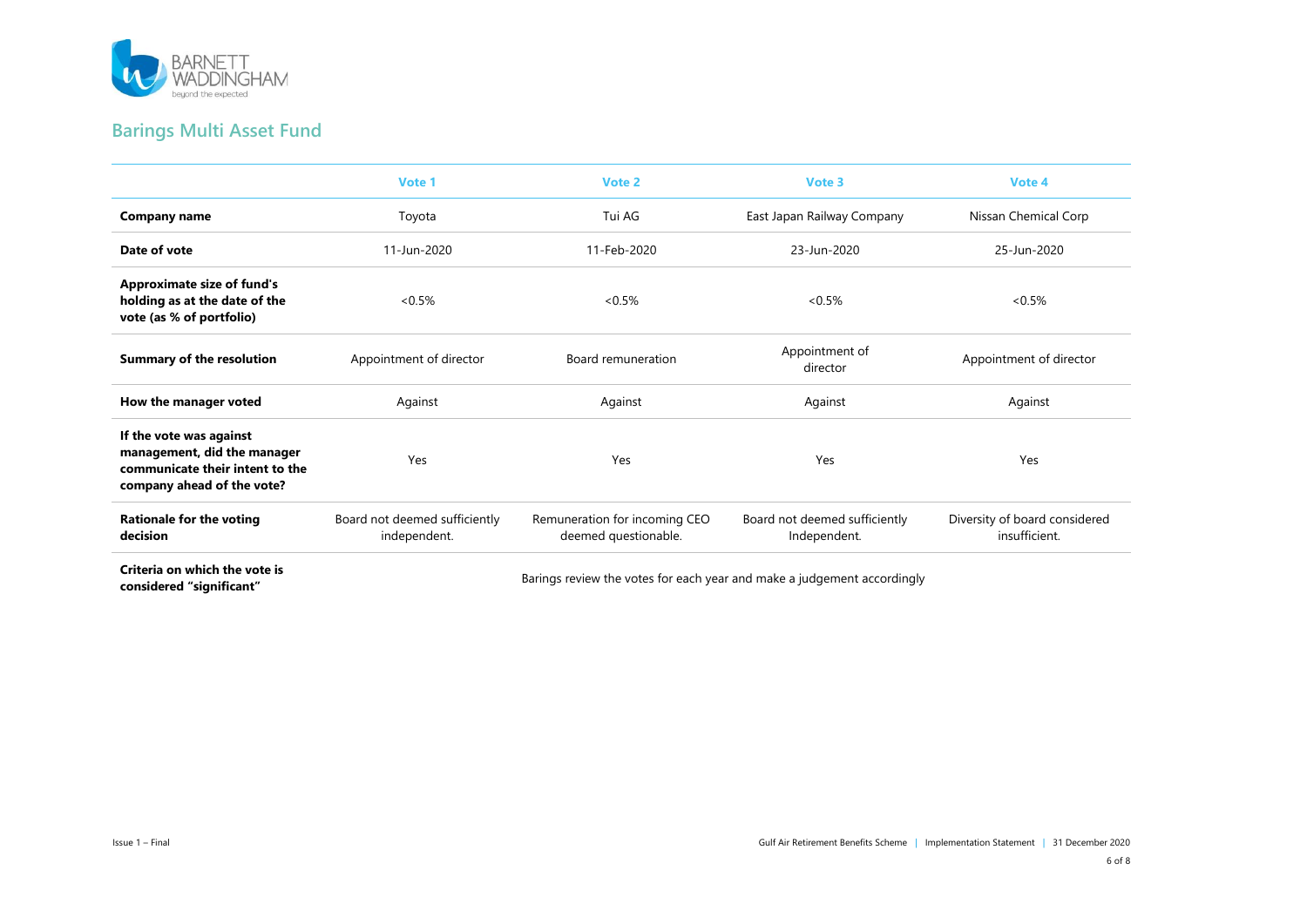

## **Barings Multi Asset Fund**

|                                                                                                                         | Vote 1                                        | Vote 2                                                                                                          | Vote 3                                        | Vote 4                                         |
|-------------------------------------------------------------------------------------------------------------------------|-----------------------------------------------|-----------------------------------------------------------------------------------------------------------------|-----------------------------------------------|------------------------------------------------|
| <b>Company name</b>                                                                                                     | Toyota                                        | Tui AG                                                                                                          | East Japan Railway Company                    | Nissan Chemical Corp                           |
| Date of vote                                                                                                            | 11-Jun-2020                                   | 11-Feb-2020                                                                                                     | 23-Jun-2020                                   | 25-Jun-2020                                    |
| <b>Approximate size of fund's</b><br>holding as at the date of the<br>vote (as % of portfolio)                          | $<0.5\%$                                      | $<0.5\%$                                                                                                        | $<0.5\%$                                      | $<0.5\%$                                       |
| <b>Summary of the resolution</b>                                                                                        | Appointment of director                       | Board remuneration                                                                                              | Appointment of<br>director                    | Appointment of director                        |
| How the manager voted                                                                                                   | Against                                       | Against                                                                                                         | Against                                       | Against                                        |
| If the vote was against<br>management, did the manager<br>communicate their intent to the<br>company ahead of the vote? | Yes                                           | Yes                                                                                                             | Yes                                           | Yes                                            |
| <b>Rationale for the voting</b><br>decision                                                                             | Board not deemed sufficiently<br>independent. | Remuneration for incoming CEO<br>deemed questionable.                                                           | Board not deemed sufficiently<br>Independent. | Diversity of board considered<br>insufficient. |
| Criteria on which the vote is                                                                                           |                                               | in the control of the control of the control of the control of the control of the control of the control of the |                                               |                                                |

**criteria on which the vote is**<br> **considered "significant"** Barings review the votes for each year and make a judgement accordingly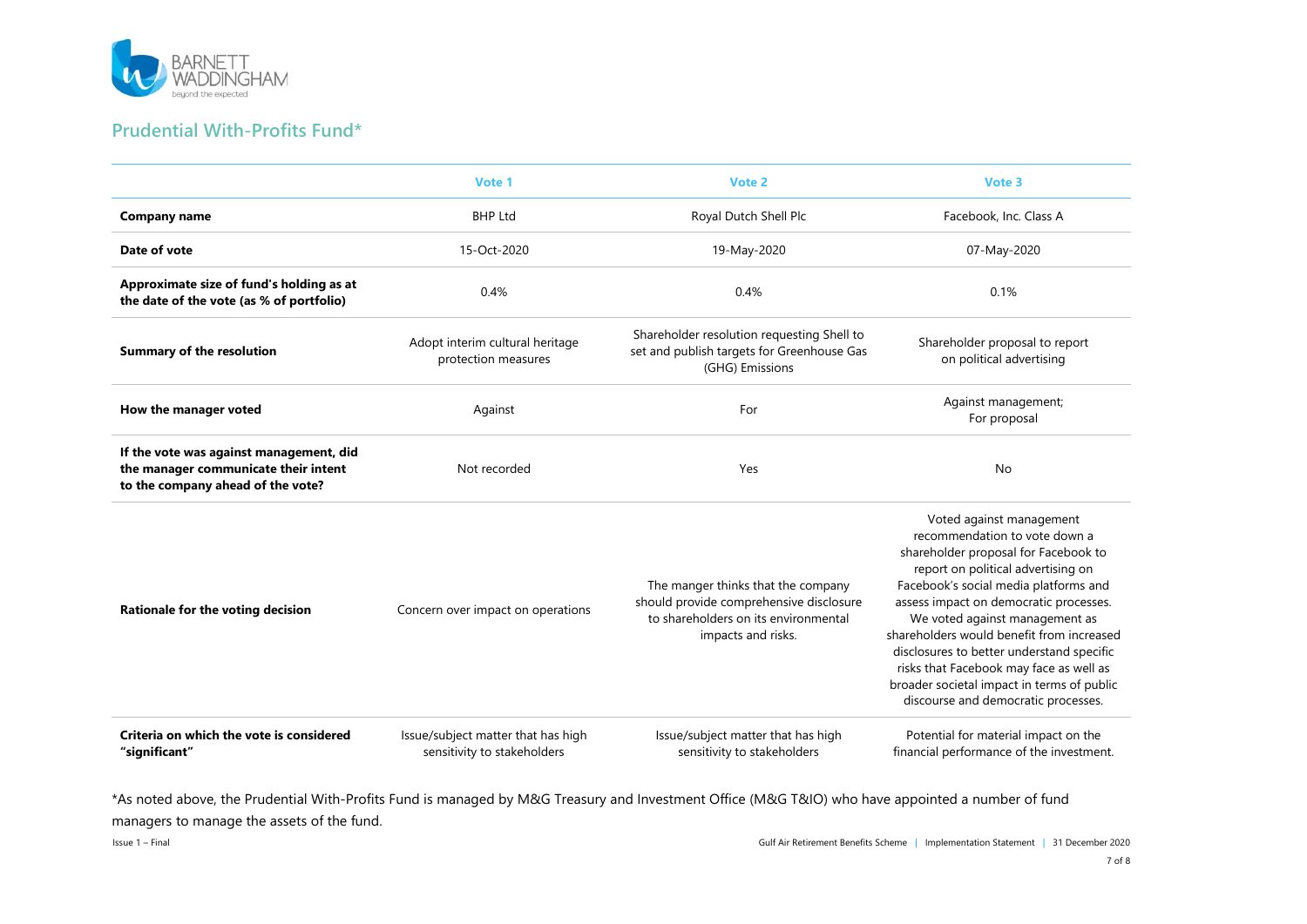

#### **Prudential With-Profits Fund\***

|                                                                                                                      | Vote 1                                                            | Vote 2                                                                                                                                      | Vote 3                                                                                                                                                                                                                                                                                                                                                                                                                                                                                 |
|----------------------------------------------------------------------------------------------------------------------|-------------------------------------------------------------------|---------------------------------------------------------------------------------------------------------------------------------------------|----------------------------------------------------------------------------------------------------------------------------------------------------------------------------------------------------------------------------------------------------------------------------------------------------------------------------------------------------------------------------------------------------------------------------------------------------------------------------------------|
| <b>Company name</b>                                                                                                  | <b>BHP Ltd</b>                                                    | Royal Dutch Shell Plc                                                                                                                       | Facebook, Inc. Class A                                                                                                                                                                                                                                                                                                                                                                                                                                                                 |
| Date of vote                                                                                                         | 15-Oct-2020                                                       | 19-May-2020                                                                                                                                 | 07-May-2020                                                                                                                                                                                                                                                                                                                                                                                                                                                                            |
| Approximate size of fund's holding as at<br>the date of the vote (as % of portfolio)                                 | 0.4%                                                              | 0.4%                                                                                                                                        | 0.1%                                                                                                                                                                                                                                                                                                                                                                                                                                                                                   |
| <b>Summary of the resolution</b>                                                                                     | Adopt interim cultural heritage<br>protection measures            | Shareholder resolution requesting Shell to<br>set and publish targets for Greenhouse Gas<br>(GHG) Emissions                                 | Shareholder proposal to report<br>on political advertising                                                                                                                                                                                                                                                                                                                                                                                                                             |
| How the manager voted                                                                                                | Against                                                           | For                                                                                                                                         | Against management;<br>For proposal                                                                                                                                                                                                                                                                                                                                                                                                                                                    |
| If the vote was against management, did<br>the manager communicate their intent<br>to the company ahead of the vote? | Not recorded                                                      | Yes                                                                                                                                         | No                                                                                                                                                                                                                                                                                                                                                                                                                                                                                     |
| Rationale for the voting decision                                                                                    | Concern over impact on operations                                 | The manger thinks that the company<br>should provide comprehensive disclosure<br>to shareholders on its environmental<br>impacts and risks. | Voted against management<br>recommendation to vote down a<br>shareholder proposal for Facebook to<br>report on political advertising on<br>Facebook's social media platforms and<br>assess impact on democratic processes.<br>We voted against management as<br>shareholders would benefit from increased<br>disclosures to better understand specific<br>risks that Facebook may face as well as<br>broader societal impact in terms of public<br>discourse and democratic processes. |
| Criteria on which the vote is considered<br>"significant"                                                            | Issue/subject matter that has high<br>sensitivity to stakeholders | Issue/subject matter that has high<br>sensitivity to stakeholders                                                                           | Potential for material impact on the<br>financial performance of the investment.                                                                                                                                                                                                                                                                                                                                                                                                       |

\*As noted above, the Prudential With-Profits Fund is managed by M&G Treasury and Investment Office (M&G T&IO) who have appointed a number of fund managers to manage the assets of the fund.